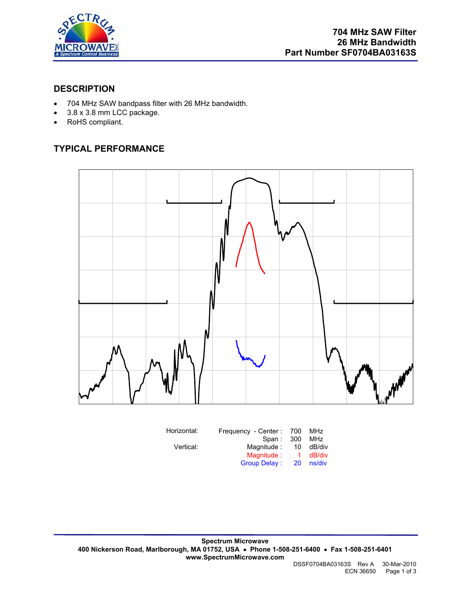

#### **DESCRIPTION**

- 704 MHz SAW bandpass filter with 26 MHz bandwidth.
- 3.8 x 3.8 mm LCC package.
- RoHS compliant.

## **TYPICAL PERFORMANCE**



| Horizontal: | Frequency - Center: 700 |    | MHz    |
|-------------|-------------------------|----|--------|
|             | Span: 300               |    | MHz    |
| Vertical:   | Magnitude:              | 10 | dB/div |
|             | Magnitude:              | 1. | dB/div |
|             | <b>Group Delay:</b>     | 20 | ns/div |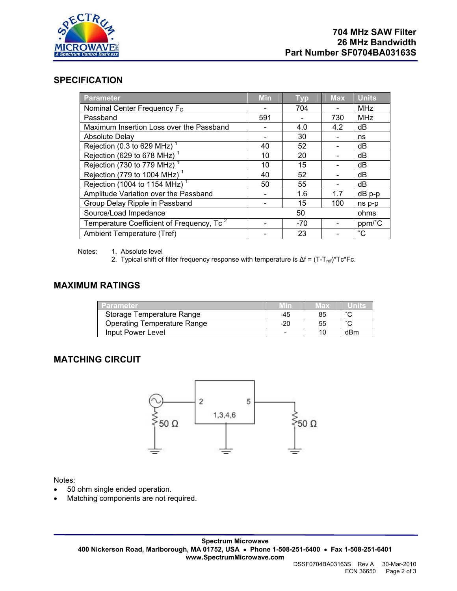

#### **SPECIFICATION**

| Parameter                                             | <b>Min</b>               | <b>Typ</b> | <b>Max</b> | <b>Units</b>    |
|-------------------------------------------------------|--------------------------|------------|------------|-----------------|
| Nominal Center Frequency F <sub>c</sub>               | $\overline{\phantom{a}}$ | 704        |            | <b>MHz</b>      |
| Passband                                              | 591                      |            | 730        | <b>MHz</b>      |
| Maximum Insertion Loss over the Passband              |                          | 4.0        | 4.2        | dB              |
| <b>Absolute Delay</b>                                 |                          | 30         |            | ns              |
| Rejection (0.3 to 629 MHz)                            | 40                       | 52         |            | dB              |
| Rejection (629 to 678 MHz)                            | 10                       | 20         |            | dB              |
| Rejection (730 to 779 MHz)                            | 10                       | 15         |            | dB              |
| Rejection (779 to 1004 MHz) <sup>1</sup>              | 40                       | 52         |            | dB              |
| Rejection (1004 to 1154 MHz) <sup>1</sup>             | 50                       | 55         |            | dB              |
| Amplitude Variation over the Passband                 |                          | 1.6        | 1.7        | $dB$ $p-p$      |
| Group Delay Ripple in Passband                        |                          | 15         | 100        | ns p-p          |
| Source/Load Impedance                                 |                          | 50         |            | ohms            |
| Temperature Coefficient of Frequency, Tc <sup>2</sup> |                          | $-70$      |            | ppm/°C          |
| Ambient Temperature (Tref)                            |                          | 23         |            | $\rm ^{\circ}C$ |

Notes: 1. Absolute level

2. Typical shift of filter frequency response with temperature is  $\Delta f = (T - T_{ref})^*Tc^*Fc$ .

#### **MAXIMUM RATINGS**

| Parameter                   |     | Max | Units               |
|-----------------------------|-----|-----|---------------------|
| Storage Temperature Range   | -45 | 85  | $\hat{\phantom{a}}$ |
| Operating Temperature Range | -20 | 55  | $\sim$              |
| Input Power Level           |     |     | dBm                 |

#### **MATCHING CIRCUIT**



#### Notes:

- 50 ohm single ended operation.
- Matching components are not required.